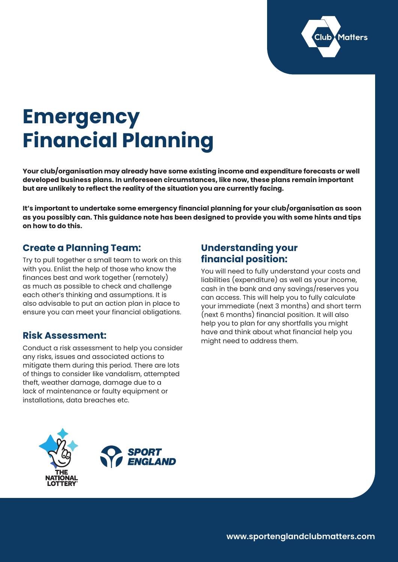

# **Emergency Financial Planning**

**Your club/organisation may already have some existing income and expenditure forecasts or well developed business plans. In unforeseen circumstances, like now, these plans remain important but are unlikely to reflect the reality of the situation you are currently facing.** 

**It's important to undertake some emergency financial planning for your club/organisation as soon as you possibly can. This guidance note has been designed to provide you with some hints and tips on how to do this.**

# **Create a Planning Team:**

Try to pull together a small team to work on this with you. Enlist the help of those who know the finances best and work together (remotely) as much as possible to check and challenge each other's thinking and assumptions. It is also advisable to put an action plan in place to ensure you can meet your financial obligations.

# **Risk Assessment:**

Conduct a risk assessment to help you consider any risks, issues and associated actions to mitigate them during this period. There are lots of things to consider like vandalism, attempted theft, weather damage, damage due to a lack of maintenance or faulty equipment or installations, data breaches etc.

# **Understanding your financial position:**

You will need to fully understand your costs and liabilities (expenditure) as well as your income, cash in the bank and any savings/reserves you can access. This will help you to fully calculate your immediate (next 3 months) and short term (next 6 months) financial position. It will also help you to plan for any shortfalls you might have and think about what financial help you might need to address them.



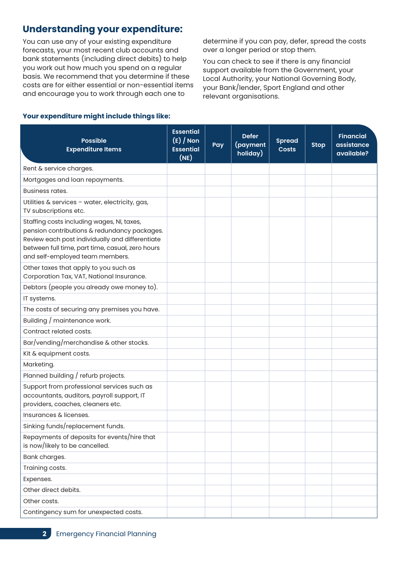# **Understanding your expenditure:**

You can use any of your existing expenditure forecasts, your most recent club accounts and bank statements (including direct debits) to help you work out how much you spend on a regular basis. We recommend that you determine if these costs are for either essential or non-essential items and encourage you to work through each one to

determine if you can pay, defer, spread the costs over a longer period or stop them.

You can check to see if there is any financial support available from the Government, your Local Authority, your National Governing Body, your Bank/lender, Sport England and other relevant organisations.

| <b>Possible</b><br><b>Expenditure Items</b>                                                                                                                                                                                          | <b>Essential</b><br>$(E) / N$ on<br><b>Essential</b><br>(NE) | Pay | <b>Defer</b><br>(payment<br>holiday) | <b>Spread</b><br><b>Costs</b> | <b>Stop</b> | <b>Financial</b><br>assistance<br>available? |
|--------------------------------------------------------------------------------------------------------------------------------------------------------------------------------------------------------------------------------------|--------------------------------------------------------------|-----|--------------------------------------|-------------------------------|-------------|----------------------------------------------|
| Rent & service charges.                                                                                                                                                                                                              |                                                              |     |                                      |                               |             |                                              |
| Mortgages and loan repayments.                                                                                                                                                                                                       |                                                              |     |                                      |                               |             |                                              |
| <b>Business rates.</b>                                                                                                                                                                                                               |                                                              |     |                                      |                               |             |                                              |
| Utilities & services - water, electricity, gas,<br>TV subscriptions etc.                                                                                                                                                             |                                                              |     |                                      |                               |             |                                              |
| Staffing costs including wages, NI, taxes,<br>pension contributions & redundancy packages.<br>Review each post individually and differentiate<br>between full time, part time, casual, zero hours<br>and self-employed team members. |                                                              |     |                                      |                               |             |                                              |
| Other taxes that apply to you such as<br>Corporation Tax, VAT, National Insurance.                                                                                                                                                   |                                                              |     |                                      |                               |             |                                              |
| Debtors (people you already owe money to).                                                                                                                                                                                           |                                                              |     |                                      |                               |             |                                              |
| IT systems.                                                                                                                                                                                                                          |                                                              |     |                                      |                               |             |                                              |
| The costs of securing any premises you have.                                                                                                                                                                                         |                                                              |     |                                      |                               |             |                                              |
| Building / maintenance work.                                                                                                                                                                                                         |                                                              |     |                                      |                               |             |                                              |
| Contract related costs.                                                                                                                                                                                                              |                                                              |     |                                      |                               |             |                                              |
| Bar/vending/merchandise & other stocks.                                                                                                                                                                                              |                                                              |     |                                      |                               |             |                                              |
| Kit & equipment costs.                                                                                                                                                                                                               |                                                              |     |                                      |                               |             |                                              |
| Marketing.                                                                                                                                                                                                                           |                                                              |     |                                      |                               |             |                                              |
| Planned building / refurb projects.                                                                                                                                                                                                  |                                                              |     |                                      |                               |             |                                              |
| Support from professional services such as<br>accountants, auditors, payroll support, IT<br>providers, coaches, cleaners etc.                                                                                                        |                                                              |     |                                      |                               |             |                                              |
| Insurances & licenses.                                                                                                                                                                                                               |                                                              |     |                                      |                               |             |                                              |
| Sinking funds/replacement funds.                                                                                                                                                                                                     |                                                              |     |                                      |                               |             |                                              |
| Repayments of deposits for events/hire that<br>is now/likely to be cancelled.                                                                                                                                                        |                                                              |     |                                      |                               |             |                                              |
| Bank charges.                                                                                                                                                                                                                        |                                                              |     |                                      |                               |             |                                              |
| Training costs.                                                                                                                                                                                                                      |                                                              |     |                                      |                               |             |                                              |
| Expenses.                                                                                                                                                                                                                            |                                                              |     |                                      |                               |             |                                              |
| Other direct debits.                                                                                                                                                                                                                 |                                                              |     |                                      |                               |             |                                              |
| Other costs.                                                                                                                                                                                                                         |                                                              |     |                                      |                               |             |                                              |
| Contingency sum for unexpected costs.                                                                                                                                                                                                |                                                              |     |                                      |                               |             |                                              |

#### **Your expenditure might include things like:**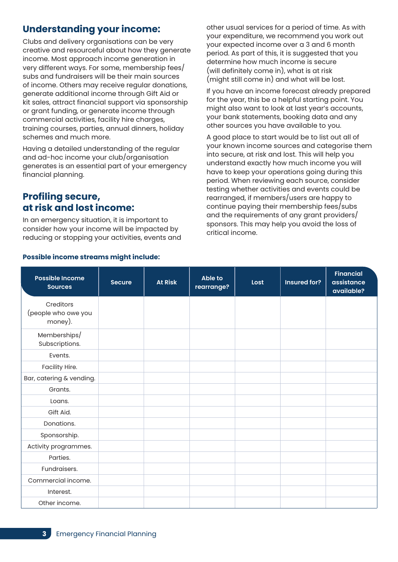# **Understanding your income:**

Clubs and delivery organisations can be very creative and resourceful about how they generate income. Most approach income generation in very different ways. For some, membership fees/ subs and fundraisers will be their main sources of income. Others may receive regular donations, generate additional income through Gift Aid or kit sales, attract financial support via sponsorship or grant funding, or generate income through commercial activities, facility hire charges, training courses, parties, annual dinners, holiday schemes and much more.

Having a detailed understanding of the regular and ad-hoc income your club/organisation generates is an essential part of your emergency financial planning.

# **Profiling secure, at risk and lost income:**

In an emergency situation, it is important to consider how your income will be impacted by reducing or stopping your activities, events and other usual services for a period of time. As with your expenditure, we recommend you work out your expected income over a 3 and 6 month period. As part of this, it is suggested that you determine how much income is secure (will definitely come in), what is at risk (might still come in) and what will be lost.

If you have an income forecast already prepared for the year, this be a helpful starting point. You might also want to look at last year's accounts, your bank statements, booking data and any other sources you have available to you.

A good place to start would be to list out all of your known income sources and categorise them into secure, at risk and lost. This will help you understand exactly how much income you will have to keep your operations going during this period. When reviewing each source, consider testing whether activities and events could be rearranged, if members/users are happy to continue paying their membership fees/subs and the requirements of any grant providers/ sponsors. This may help you avoid the loss of critical income.

| <b>Possible Income</b><br><b>Sources</b>    | <b>Secure</b> | <b>At Risk</b> | <b>Able to</b><br>rearrange? | Lost | Insured for? | <b>Financial</b><br>assistance<br>available? |
|---------------------------------------------|---------------|----------------|------------------------------|------|--------------|----------------------------------------------|
| Creditors<br>(people who owe you<br>money). |               |                |                              |      |              |                                              |
| Memberships/<br>Subscriptions.              |               |                |                              |      |              |                                              |
| Events.                                     |               |                |                              |      |              |                                              |
| Facility Hire.                              |               |                |                              |      |              |                                              |
| Bar, catering & vending.                    |               |                |                              |      |              |                                              |
| Grants.                                     |               |                |                              |      |              |                                              |
| Loans.                                      |               |                |                              |      |              |                                              |
| Gift Aid.                                   |               |                |                              |      |              |                                              |
| Donations.                                  |               |                |                              |      |              |                                              |
| Sponsorship.                                |               |                |                              |      |              |                                              |
| Activity programmes.                        |               |                |                              |      |              |                                              |
| Parties.                                    |               |                |                              |      |              |                                              |
| Fundraisers.                                |               |                |                              |      |              |                                              |
| Commercial income.                          |               |                |                              |      |              |                                              |
| Interest.                                   |               |                |                              |      |              |                                              |
| Other income.                               |               |                |                              |      |              |                                              |

#### **Possible income streams might include:**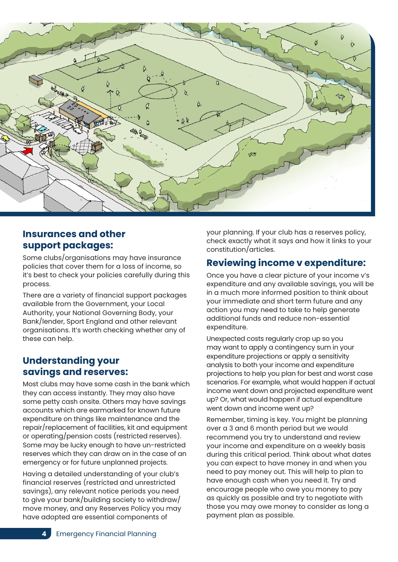

## **Insurances and other support packages:**

Some clubs/organisations may have insurance policies that cover them for a loss of income, so it's best to check your policies carefully during this process.

There are a variety of financial support packages available from the Government, your Local Authority, your National Governing Body, your Bank/lender, Sport England and other relevant organisations. It's worth checking whether any of these can help.

# **Understanding your savings and reserves:**

Most clubs may have some cash in the bank which they can access instantly. They may also have some petty cash onsite. Others may have savings accounts which are earmarked for known future expenditure on things like maintenance and the repair/replacement of facilities, kit and equipment or operating/pension costs (restricted reserves). Some may be lucky enough to have un-restricted reserves which they can draw on in the case of an emergency or for future unplanned projects.

Having a detailed understanding of your club's financial reserves (restricted and unrestricted savings), any relevant notice periods you need to give your bank/building society to withdraw/ move money, and any Reserves Policy you may have adopted are essential components of

your planning. If your club has a reserves policy, check exactly what it says and how it links to your constitution/articles.

# **Reviewing income v expenditure:**

Once you have a clear picture of your income v's expenditure and any available savings, you will be in a much more informed position to think about your immediate and short term future and any action you may need to take to help generate additional funds and reduce non-essential expenditure.

Unexpected costs regularly crop up so you may want to apply a contingency sum in your expenditure projections or apply a sensitivity analysis to both your income and expenditure projections to help you plan for best and worst case scenarios. For example, what would happen if actual income went down and projected expenditure went up? Or, what would happen if actual expenditure went down and income went up?

Remember, timing is key. You might be planning over a 3 and 6 month period but we would recommend you try to understand and review your income and expenditure on a weekly basis during this critical period. Think about what dates you can expect to have money in and when you need to pay money out. This will help to plan to have enough cash when you need it. Try and encourage people who owe you money to pay as quickly as possible and try to negotiate with those you may owe money to consider as long a payment plan as possible.